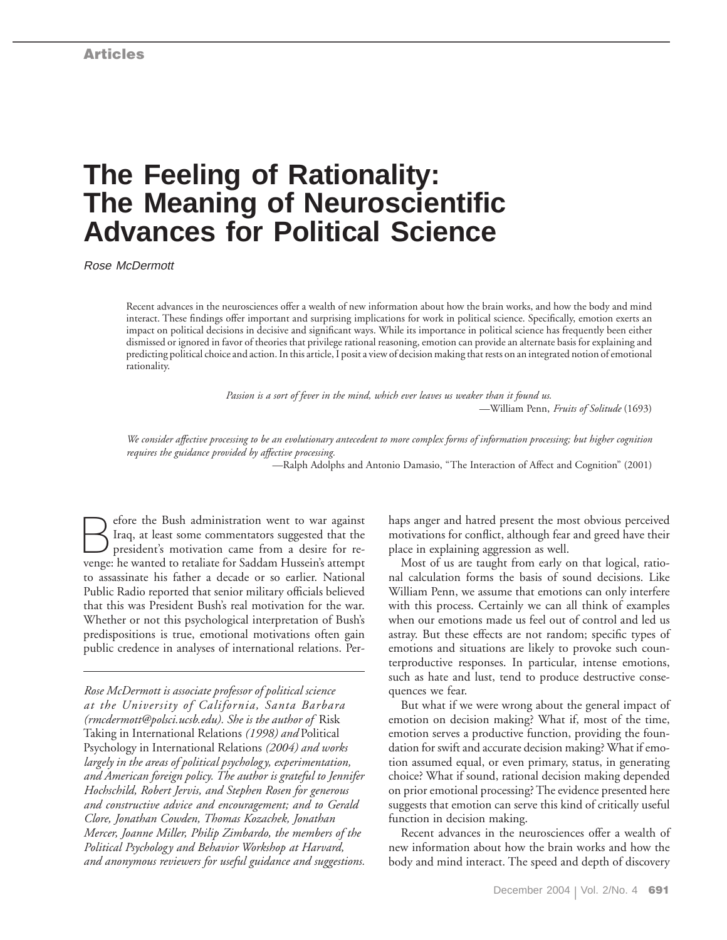# **The Feeling of Rationality: The Meaning of Neuroscientific Advances for Political Science**

Rose McDermott

Recent advances in the neurosciences offer a wealth of new information about how the brain works, and how the body and mind interact. These findings offer important and surprising implications for work in political science. Specifically, emotion exerts an impact on political decisions in decisive and significant ways. While its importance in political science has frequently been either dismissed or ignored in favor of theories that privilege rational reasoning, emotion can provide an alternate basis for explaining and predicting political choice and action. In this article, I posit a view of decision making that rests on an integrated notion of emotional rationality.

> *Passion is a sort of fever in the mind, which ever leaves us weaker than it found us.* —William Penn, *Fruits of Solitude* (1693)

*We consider affective processing to be an evolutionary antecedent to more complex forms of information processing; but higher cognition requires the guidance provided by affective processing.*

—Ralph Adolphs and Antonio Damasio, "The Interaction of Affect and Cognition" (2001)

**Example 18 For Start School** Engine Strap at least some commentators suggested that the president's motivation came from a desire for re-Iraq, at least some commentators suggested that the venge: he wanted to retaliate for Saddam Hussein's attempt to assassinate his father a decade or so earlier. National Public Radio reported that senior military officials believed that this was President Bush's real motivation for the war. Whether or not this psychological interpretation of Bush's predispositions is true, emotional motivations often gain public credence in analyses of international relations. Per-

*Rose McDermott is associate professor of political science at the University of California, Santa Barbara (rmcdermott@polsci.ucsb.edu). She is the author of* Risk Taking in International Relations *(1998) and* Political Psychology in International Relations *(2004) and works largely in the areas of political psychology, experimentation, and American foreign policy. The author is grateful to Jennifer Hochschild, Robert Jervis, and Stephen Rosen for generous and constructive advice and encouragement; and to Gerald Clore, Jonathan Cowden, Thomas Kozachek, Jonathan Mercer, Joanne Miller, Philip Zimbardo, the members of the Political Psychology and Behavior Workshop at Harvard, and anonymous reviewers for useful guidance and suggestions.*

haps anger and hatred present the most obvious perceived motivations for conflict, although fear and greed have their place in explaining aggression as well.

Most of us are taught from early on that logical, rational calculation forms the basis of sound decisions. Like William Penn, we assume that emotions can only interfere with this process. Certainly we can all think of examples when our emotions made us feel out of control and led us astray. But these effects are not random; specific types of emotions and situations are likely to provoke such counterproductive responses. In particular, intense emotions, such as hate and lust, tend to produce destructive consequences we fear.

But what if we were wrong about the general impact of emotion on decision making? What if, most of the time, emotion serves a productive function, providing the foundation for swift and accurate decision making? What if emotion assumed equal, or even primary, status, in generating choice? What if sound, rational decision making depended on prior emotional processing? The evidence presented here suggests that emotion can serve this kind of critically useful function in decision making.

Recent advances in the neurosciences offer a wealth of new information about how the brain works and how the body and mind interact. The speed and depth of discovery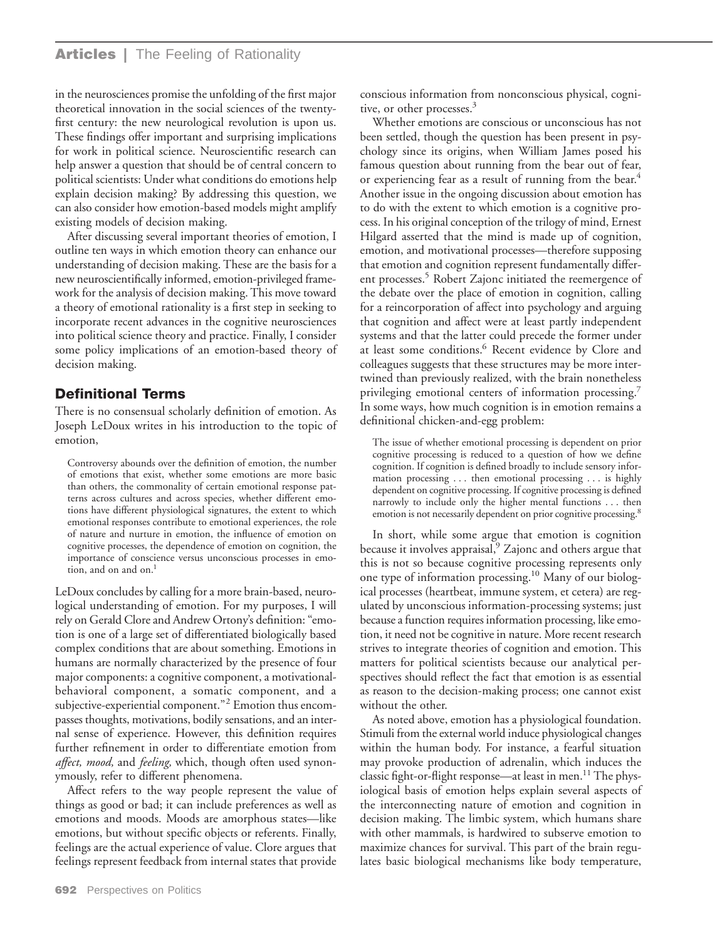in the neurosciences promise the unfolding of the first major theoretical innovation in the social sciences of the twentyfirst century: the new neurological revolution is upon us. These findings offer important and surprising implications for work in political science. Neuroscientific research can help answer a question that should be of central concern to political scientists: Under what conditions do emotions help explain decision making? By addressing this question, we can also consider how emotion-based models might amplify existing models of decision making.

After discussing several important theories of emotion, I outline ten ways in which emotion theory can enhance our understanding of decision making. These are the basis for a new neuroscientifically informed, emotion-privileged framework for the analysis of decision making. This move toward a theory of emotional rationality is a first step in seeking to incorporate recent advances in the cognitive neurosciences into political science theory and practice. Finally, I consider some policy implications of an emotion-based theory of decision making.

## **Definitional Terms**

There is no consensual scholarly definition of emotion. As Joseph LeDoux writes in his introduction to the topic of emotion,

Controversy abounds over the definition of emotion, the number of emotions that exist, whether some emotions are more basic than others, the commonality of certain emotional response patterns across cultures and across species, whether different emotions have different physiological signatures, the extent to which emotional responses contribute to emotional experiences, the role of nature and nurture in emotion, the influence of emotion on cognitive processes, the dependence of emotion on cognition, the importance of conscience versus unconscious processes in emotion, and on and on.<sup>1</sup>

LeDoux concludes by calling for a more brain-based, neurological understanding of emotion. For my purposes, I will rely on Gerald Clore and Andrew Ortony's definition: "emotion is one of a large set of differentiated biologically based complex conditions that are about something. Emotions in humans are normally characterized by the presence of four major components: a cognitive component, a motivationalbehavioral component, a somatic component, and a subjective-experiential component."<sup>2</sup> Emotion thus encompasses thoughts, motivations, bodily sensations, and an internal sense of experience. However, this definition requires further refinement in order to differentiate emotion from *affect, mood,* and *feeling,* which, though often used synonymously, refer to different phenomena.

Affect refers to the way people represent the value of things as good or bad; it can include preferences as well as emotions and moods. Moods are amorphous states—like emotions, but without specific objects or referents. Finally, feelings are the actual experience of value. Clore argues that feelings represent feedback from internal states that provide

Whether emotions are conscious or unconscious has not been settled, though the question has been present in psychology since its origins, when William James posed his famous question about running from the bear out of fear, or experiencing fear as a result of running from the bear.<sup>4</sup> Another issue in the ongoing discussion about emotion has to do with the extent to which emotion is a cognitive process. In his original conception of the trilogy of mind, Ernest Hilgard asserted that the mind is made up of cognition, emotion, and motivational processes—therefore supposing that emotion and cognition represent fundamentally different processes.<sup>5</sup> Robert Zajonc initiated the reemergence of the debate over the place of emotion in cognition, calling for a reincorporation of affect into psychology and arguing that cognition and affect were at least partly independent systems and that the latter could precede the former under at least some conditions.<sup>6</sup> Recent evidence by Clore and colleagues suggests that these structures may be more intertwined than previously realized, with the brain nonetheless privileging emotional centers of information processing.<sup>7</sup> In some ways, how much cognition is in emotion remains a definitional chicken-and-egg problem:

The issue of whether emotional processing is dependent on prior cognitive processing is reduced to a question of how we define cognition. If cognition is defined broadly to include sensory information processing . . . then emotional processing . . . is highly dependent on cognitive processing. If cognitive processing is defined narrowly to include only the higher mental functions . . . then emotion is not necessarily dependent on prior cognitive processing.<sup>8</sup>

In short, while some argue that emotion is cognition because it involves appraisal,<sup>9</sup> Zajonc and others argue that this is not so because cognitive processing represents only one type of information processing.10 Many of our biological processes (heartbeat, immune system, et cetera) are regulated by unconscious information-processing systems; just because a function requires information processing, like emotion, it need not be cognitive in nature. More recent research strives to integrate theories of cognition and emotion. This matters for political scientists because our analytical perspectives should reflect the fact that emotion is as essential as reason to the decision-making process; one cannot exist without the other.

As noted above, emotion has a physiological foundation. Stimuli from the external world induce physiological changes within the human body. For instance, a fearful situation may provoke production of adrenalin, which induces the classic fight-or-flight response—at least in men.<sup>11</sup> The physiological basis of emotion helps explain several aspects of the interconnecting nature of emotion and cognition in decision making. The limbic system, which humans share with other mammals, is hardwired to subserve emotion to maximize chances for survival. This part of the brain regulates basic biological mechanisms like body temperature,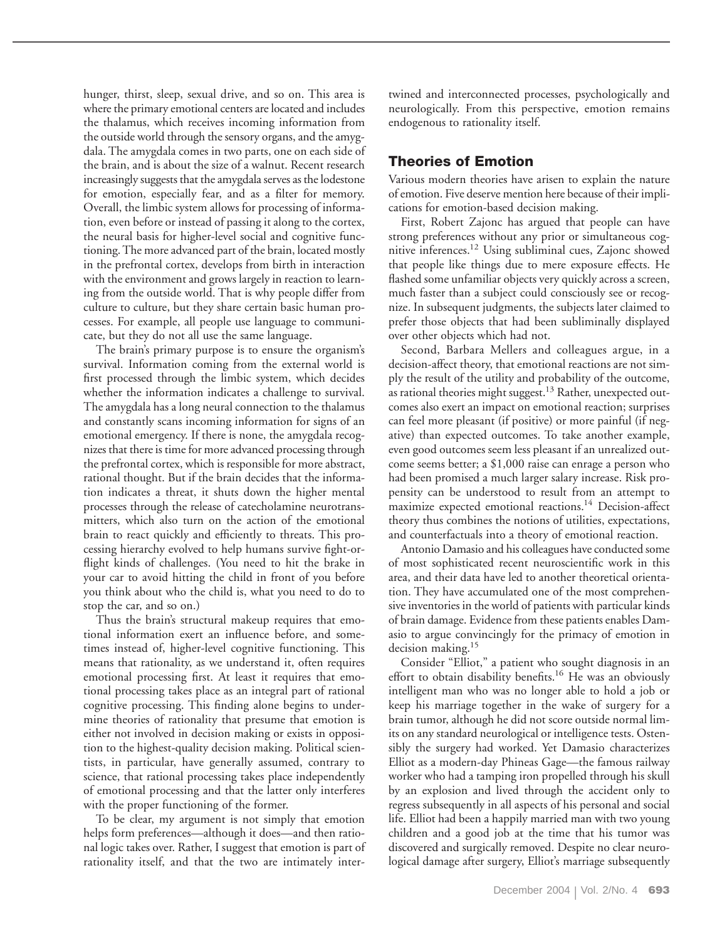hunger, thirst, sleep, sexual drive, and so on. This area is where the primary emotional centers are located and includes the thalamus, which receives incoming information from the outside world through the sensory organs, and the amygdala. The amygdala comes in two parts, one on each side of the brain, and is about the size of a walnut. Recent research increasingly suggests that the amygdala serves as the lodestone for emotion, especially fear, and as a filter for memory. Overall, the limbic system allows for processing of information, even before or instead of passing it along to the cortex, the neural basis for higher-level social and cognitive functioning. The more advanced part of the brain, located mostly in the prefrontal cortex, develops from birth in interaction with the environment and grows largely in reaction to learning from the outside world. That is why people differ from culture to culture, but they share certain basic human processes. For example, all people use language to communicate, but they do not all use the same language.

The brain's primary purpose is to ensure the organism's survival. Information coming from the external world is first processed through the limbic system, which decides whether the information indicates a challenge to survival. The amygdala has a long neural connection to the thalamus and constantly scans incoming information for signs of an emotional emergency. If there is none, the amygdala recognizes that there is time for more advanced processing through the prefrontal cortex, which is responsible for more abstract, rational thought. But if the brain decides that the information indicates a threat, it shuts down the higher mental processes through the release of catecholamine neurotransmitters, which also turn on the action of the emotional brain to react quickly and efficiently to threats. This processing hierarchy evolved to help humans survive fight-orflight kinds of challenges. (You need to hit the brake in your car to avoid hitting the child in front of you before you think about who the child is, what you need to do to stop the car, and so on.)

Thus the brain's structural makeup requires that emotional information exert an influence before, and sometimes instead of, higher-level cognitive functioning. This means that rationality, as we understand it, often requires emotional processing first. At least it requires that emotional processing takes place as an integral part of rational cognitive processing. This finding alone begins to undermine theories of rationality that presume that emotion is either not involved in decision making or exists in opposition to the highest-quality decision making. Political scientists, in particular, have generally assumed, contrary to science, that rational processing takes place independently of emotional processing and that the latter only interferes with the proper functioning of the former.

To be clear, my argument is not simply that emotion helps form preferences—although it does—and then rational logic takes over. Rather, I suggest that emotion is part of rationality itself, and that the two are intimately intertwined and interconnected processes, psychologically and neurologically. From this perspective, emotion remains endogenous to rationality itself.

# **Theories of Emotion**

Various modern theories have arisen to explain the nature of emotion. Five deserve mention here because of their implications for emotion-based decision making.

First, Robert Zajonc has argued that people can have strong preferences without any prior or simultaneous cognitive inferences.12 Using subliminal cues, Zajonc showed that people like things due to mere exposure effects. He flashed some unfamiliar objects very quickly across a screen, much faster than a subject could consciously see or recognize. In subsequent judgments, the subjects later claimed to prefer those objects that had been subliminally displayed over other objects which had not.

Second, Barbara Mellers and colleagues argue, in a decision-affect theory, that emotional reactions are not simply the result of the utility and probability of the outcome, as rational theories might suggest.<sup>13</sup> Rather, unexpected outcomes also exert an impact on emotional reaction; surprises can feel more pleasant (if positive) or more painful (if negative) than expected outcomes. To take another example, even good outcomes seem less pleasant if an unrealized outcome seems better; a \$1,000 raise can enrage a person who had been promised a much larger salary increase. Risk propensity can be understood to result from an attempt to maximize expected emotional reactions.<sup>14</sup> Decision-affect theory thus combines the notions of utilities, expectations, and counterfactuals into a theory of emotional reaction.

Antonio Damasio and his colleagues have conducted some of most sophisticated recent neuroscientific work in this area, and their data have led to another theoretical orientation. They have accumulated one of the most comprehensive inventories in the world of patients with particular kinds of brain damage. Evidence from these patients enables Damasio to argue convincingly for the primacy of emotion in decision making.<sup>15</sup>

Consider "Elliot," a patient who sought diagnosis in an effort to obtain disability benefits.<sup>16</sup> He was an obviously intelligent man who was no longer able to hold a job or keep his marriage together in the wake of surgery for a brain tumor, although he did not score outside normal limits on any standard neurological or intelligence tests. Ostensibly the surgery had worked. Yet Damasio characterizes Elliot as a modern-day Phineas Gage—the famous railway worker who had a tamping iron propelled through his skull by an explosion and lived through the accident only to regress subsequently in all aspects of his personal and social life. Elliot had been a happily married man with two young children and a good job at the time that his tumor was discovered and surgically removed. Despite no clear neurological damage after surgery, Elliot's marriage subsequently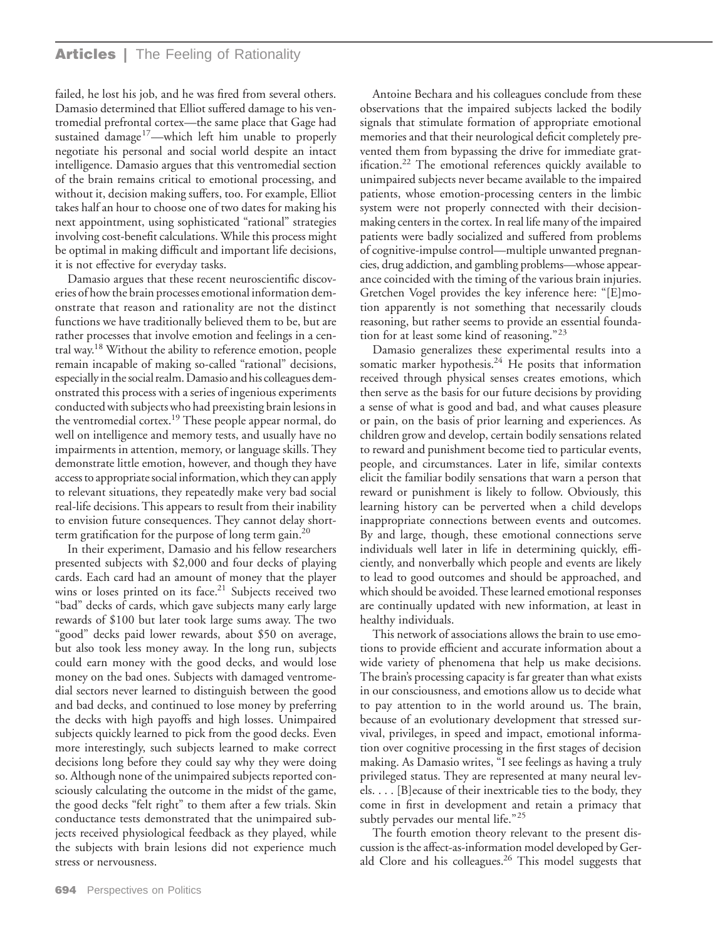failed, he lost his job, and he was fired from several others. Damasio determined that Elliot suffered damage to his ventromedial prefrontal cortex—the same place that Gage had sustained damage<sup>17</sup>—which left him unable to properly negotiate his personal and social world despite an intact intelligence. Damasio argues that this ventromedial section of the brain remains critical to emotional processing, and without it, decision making suffers, too. For example, Elliot takes half an hour to choose one of two dates for making his next appointment, using sophisticated "rational" strategies involving cost-benefit calculations. While this process might be optimal in making difficult and important life decisions, it is not effective for everyday tasks.

Damasio argues that these recent neuroscientific discoveries of how the brain processes emotional information demonstrate that reason and rationality are not the distinct functions we have traditionally believed them to be, but are rather processes that involve emotion and feelings in a central way.<sup>18</sup> Without the ability to reference emotion, people remain incapable of making so-called "rational" decisions, especially in the social realm. Damasio and his colleagues demonstrated this process with a series of ingenious experiments conducted with subjects who had preexisting brain lesions in the ventromedial cortex.<sup>19</sup> These people appear normal, do well on intelligence and memory tests, and usually have no impairments in attention, memory, or language skills. They demonstrate little emotion, however, and though they have access to appropriate social information, which they can apply to relevant situations, they repeatedly make very bad social real-life decisions. This appears to result from their inability to envision future consequences. They cannot delay shortterm gratification for the purpose of long term gain.<sup>20</sup>

In their experiment, Damasio and his fellow researchers presented subjects with \$2,000 and four decks of playing cards. Each card had an amount of money that the player wins or loses printed on its face.<sup>21</sup> Subjects received two "bad" decks of cards, which gave subjects many early large rewards of \$100 but later took large sums away. The two "good" decks paid lower rewards, about \$50 on average, but also took less money away. In the long run, subjects could earn money with the good decks, and would lose money on the bad ones. Subjects with damaged ventromedial sectors never learned to distinguish between the good and bad decks, and continued to lose money by preferring the decks with high payoffs and high losses. Unimpaired subjects quickly learned to pick from the good decks. Even more interestingly, such subjects learned to make correct decisions long before they could say why they were doing so. Although none of the unimpaired subjects reported consciously calculating the outcome in the midst of the game, the good decks "felt right" to them after a few trials. Skin conductance tests demonstrated that the unimpaired subjects received physiological feedback as they played, while the subjects with brain lesions did not experience much stress or nervousness.

Antoine Bechara and his colleagues conclude from these observations that the impaired subjects lacked the bodily signals that stimulate formation of appropriate emotional memories and that their neurological deficit completely prevented them from bypassing the drive for immediate gratification.22 The emotional references quickly available to unimpaired subjects never became available to the impaired patients, whose emotion-processing centers in the limbic system were not properly connected with their decisionmaking centers in the cortex. In real life many of the impaired patients were badly socialized and suffered from problems of cognitive-impulse control—multiple unwanted pregnancies, drug addiction, and gambling problems—whose appearance coincided with the timing of the various brain injuries. Gretchen Vogel provides the key inference here: "[E]motion apparently is not something that necessarily clouds reasoning, but rather seems to provide an essential foundation for at least some kind of reasoning."<sup>23</sup>

Damasio generalizes these experimental results into a somatic marker hypothesis.<sup>24</sup> He posits that information received through physical senses creates emotions, which then serve as the basis for our future decisions by providing a sense of what is good and bad, and what causes pleasure or pain, on the basis of prior learning and experiences. As children grow and develop, certain bodily sensations related to reward and punishment become tied to particular events, people, and circumstances. Later in life, similar contexts elicit the familiar bodily sensations that warn a person that reward or punishment is likely to follow. Obviously, this learning history can be perverted when a child develops inappropriate connections between events and outcomes. By and large, though, these emotional connections serve individuals well later in life in determining quickly, efficiently, and nonverbally which people and events are likely to lead to good outcomes and should be approached, and which should be avoided. These learned emotional responses are continually updated with new information, at least in healthy individuals.

This network of associations allows the brain to use emotions to provide efficient and accurate information about a wide variety of phenomena that help us make decisions. The brain's processing capacity is far greater than what exists in our consciousness, and emotions allow us to decide what to pay attention to in the world around us. The brain, because of an evolutionary development that stressed survival, privileges, in speed and impact, emotional information over cognitive processing in the first stages of decision making. As Damasio writes, "I see feelings as having a truly privileged status. They are represented at many neural levels. . . . [B]ecause of their inextricable ties to the body, they come in first in development and retain a primacy that subtly pervades our mental life."<sup>25</sup>

The fourth emotion theory relevant to the present discussion is the affect-as-information model developed by Gerald Clore and his colleagues.<sup>26</sup> This model suggests that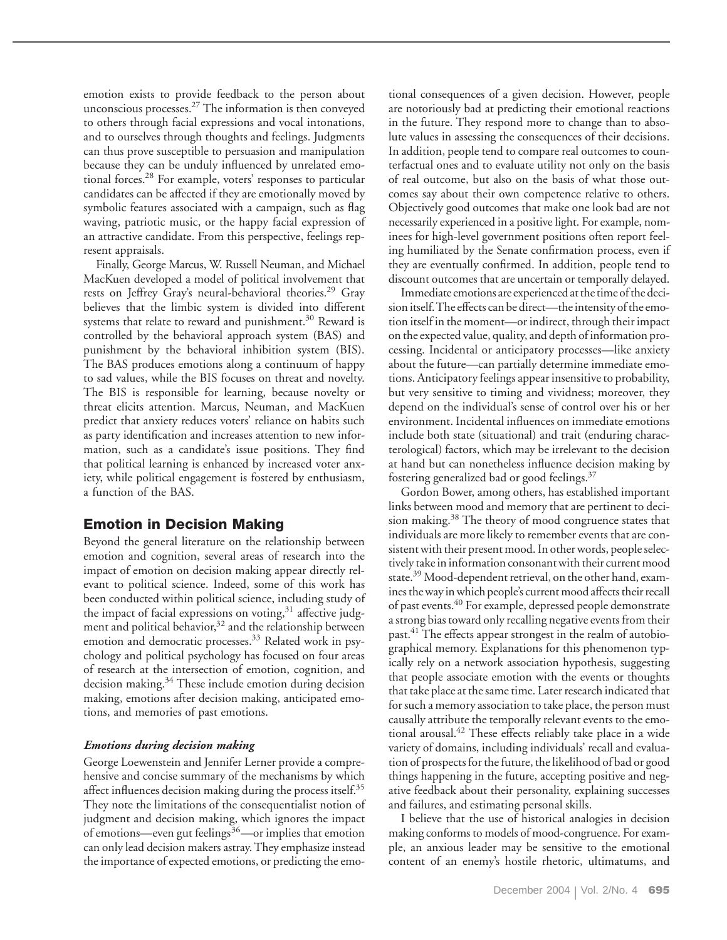emotion exists to provide feedback to the person about unconscious processes. $^{27}$  The information is then conveyed to others through facial expressions and vocal intonations, and to ourselves through thoughts and feelings. Judgments can thus prove susceptible to persuasion and manipulation because they can be unduly influenced by unrelated emotional forces.28 For example, voters' responses to particular candidates can be affected if they are emotionally moved by symbolic features associated with a campaign, such as flag waving, patriotic music, or the happy facial expression of an attractive candidate. From this perspective, feelings represent appraisals.

Finally, George Marcus, W. Russell Neuman, and Michael MacKuen developed a model of political involvement that rests on Jeffrey Gray's neural-behavioral theories.<sup>29</sup> Gray believes that the limbic system is divided into different systems that relate to reward and punishment.<sup>30</sup> Reward is controlled by the behavioral approach system (BAS) and punishment by the behavioral inhibition system (BIS). The BAS produces emotions along a continuum of happy to sad values, while the BIS focuses on threat and novelty. The BIS is responsible for learning, because novelty or threat elicits attention. Marcus, Neuman, and MacKuen predict that anxiety reduces voters' reliance on habits such as party identification and increases attention to new information, such as a candidate's issue positions. They find that political learning is enhanced by increased voter anxiety, while political engagement is fostered by enthusiasm, a function of the BAS.

# **Emotion in Decision Making**

Beyond the general literature on the relationship between emotion and cognition, several areas of research into the impact of emotion on decision making appear directly relevant to political science. Indeed, some of this work has been conducted within political science, including study of the impact of facial expressions on voting, $31$  affective judgment and political behavior,<sup>32</sup> and the relationship between emotion and democratic processes.<sup>33</sup> Related work in psychology and political psychology has focused on four areas of research at the intersection of emotion, cognition, and decision making.<sup>34</sup> These include emotion during decision making, emotions after decision making, anticipated emotions, and memories of past emotions.

#### *Emotions during decision making*

George Loewenstein and Jennifer Lerner provide a comprehensive and concise summary of the mechanisms by which affect influences decision making during the process itself.<sup>35</sup> They note the limitations of the consequentialist notion of judgment and decision making, which ignores the impact of emotions—even gut feelings<sup>36</sup>—or implies that emotion can only lead decision makers astray. They emphasize instead the importance of expected emotions, or predicting the emotional consequences of a given decision. However, people are notoriously bad at predicting their emotional reactions in the future. They respond more to change than to absolute values in assessing the consequences of their decisions. In addition, people tend to compare real outcomes to counterfactual ones and to evaluate utility not only on the basis of real outcome, but also on the basis of what those outcomes say about their own competence relative to others. Objectively good outcomes that make one look bad are not necessarily experienced in a positive light. For example, nominees for high-level government positions often report feeling humiliated by the Senate confirmation process, even if they are eventually confirmed. In addition, people tend to discount outcomes that are uncertain or temporally delayed.

Immediate emotions are experienced at the time of the decision itself.The effects can be direct—the intensity of the emotion itself in the moment—or indirect, through their impact on the expected value, quality, and depth of information processing. Incidental or anticipatory processes—like anxiety about the future—can partially determine immediate emotions. Anticipatory feelings appear insensitive to probability, but very sensitive to timing and vividness; moreover, they depend on the individual's sense of control over his or her environment. Incidental influences on immediate emotions include both state (situational) and trait (enduring characterological) factors, which may be irrelevant to the decision at hand but can nonetheless influence decision making by fostering generalized bad or good feelings.37

Gordon Bower, among others, has established important links between mood and memory that are pertinent to decision making.<sup>38</sup> The theory of mood congruence states that individuals are more likely to remember events that are consistent with their present mood. In other words, people selectively take in information consonant with their current mood state.<sup>39</sup> Mood-dependent retrieval, on the other hand, examines the way in which people's current mood affects their recall of past events.<sup>40</sup> For example, depressed people demonstrate a strong bias toward only recalling negative events from their past.<sup>41</sup> The effects appear strongest in the realm of autobiographical memory. Explanations for this phenomenon typically rely on a network association hypothesis, suggesting that people associate emotion with the events or thoughts that take place at the same time. Later research indicated that for such a memory association to take place, the person must causally attribute the temporally relevant events to the emotional arousal.42 These effects reliably take place in a wide variety of domains, including individuals' recall and evaluation of prospects for the future, the likelihood of bad or good things happening in the future, accepting positive and negative feedback about their personality, explaining successes and failures, and estimating personal skills.

I believe that the use of historical analogies in decision making conforms to models of mood-congruence. For example, an anxious leader may be sensitive to the emotional content of an enemy's hostile rhetoric, ultimatums, and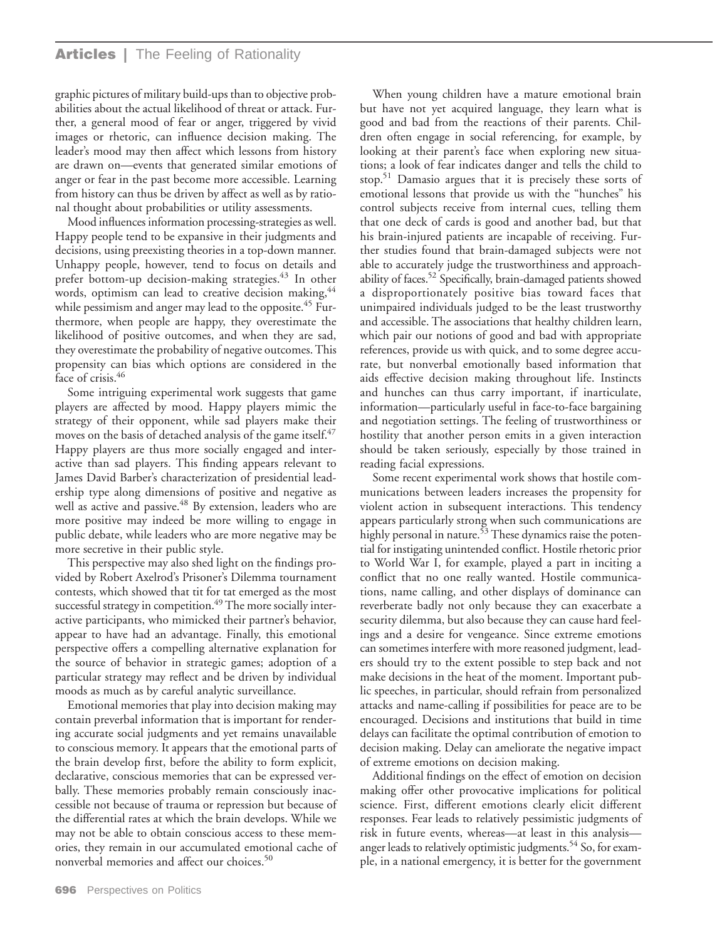graphic pictures of military build-ups than to objective probabilities about the actual likelihood of threat or attack. Further, a general mood of fear or anger, triggered by vivid images or rhetoric, can influence decision making. The leader's mood may then affect which lessons from history are drawn on—events that generated similar emotions of anger or fear in the past become more accessible. Learning from history can thus be driven by affect as well as by rational thought about probabilities or utility assessments.

Mood influences information processing-strategies as well. Happy people tend to be expansive in their judgments and decisions, using preexisting theories in a top-down manner. Unhappy people, however, tend to focus on details and prefer bottom-up decision-making strategies.<sup>43</sup> In other words, optimism can lead to creative decision making, <sup>44</sup> while pessimism and anger may lead to the opposite.<sup>45</sup> Furthermore, when people are happy, they overestimate the likelihood of positive outcomes, and when they are sad, they overestimate the probability of negative outcomes. This propensity can bias which options are considered in the face of crisis.<sup>46</sup>

Some intriguing experimental work suggests that game players are affected by mood. Happy players mimic the strategy of their opponent, while sad players make their moves on the basis of detached analysis of the game itself. $47$ Happy players are thus more socially engaged and interactive than sad players. This finding appears relevant to James David Barber's characterization of presidential leadership type along dimensions of positive and negative as well as active and passive.<sup>48</sup> By extension, leaders who are more positive may indeed be more willing to engage in public debate, while leaders who are more negative may be more secretive in their public style.

This perspective may also shed light on the findings provided by Robert Axelrod's Prisoner's Dilemma tournament contests, which showed that tit for tat emerged as the most successful strategy in competition.<sup>49</sup> The more socially interactive participants, who mimicked their partner's behavior, appear to have had an advantage. Finally, this emotional perspective offers a compelling alternative explanation for the source of behavior in strategic games; adoption of a particular strategy may reflect and be driven by individual moods as much as by careful analytic surveillance.

Emotional memories that play into decision making may contain preverbal information that is important for rendering accurate social judgments and yet remains unavailable to conscious memory. It appears that the emotional parts of the brain develop first, before the ability to form explicit, declarative, conscious memories that can be expressed verbally. These memories probably remain consciously inaccessible not because of trauma or repression but because of the differential rates at which the brain develops. While we may not be able to obtain conscious access to these memories, they remain in our accumulated emotional cache of nonverbal memories and affect our choices.50

When young children have a mature emotional brain but have not yet acquired language, they learn what is good and bad from the reactions of their parents. Children often engage in social referencing, for example, by looking at their parent's face when exploring new situations; a look of fear indicates danger and tells the child to stop.<sup>51</sup> Damasio argues that it is precisely these sorts of emotional lessons that provide us with the "hunches" his control subjects receive from internal cues, telling them that one deck of cards is good and another bad, but that his brain-injured patients are incapable of receiving. Further studies found that brain-damaged subjects were not able to accurately judge the trustworthiness and approachability of faces.<sup>52</sup> Specifically, brain-damaged patients showed a disproportionately positive bias toward faces that unimpaired individuals judged to be the least trustworthy and accessible. The associations that healthy children learn, which pair our notions of good and bad with appropriate references, provide us with quick, and to some degree accurate, but nonverbal emotionally based information that aids effective decision making throughout life. Instincts and hunches can thus carry important, if inarticulate, information—particularly useful in face-to-face bargaining and negotiation settings. The feeling of trustworthiness or hostility that another person emits in a given interaction should be taken seriously, especially by those trained in reading facial expressions.

Some recent experimental work shows that hostile communications between leaders increases the propensity for violent action in subsequent interactions. This tendency appears particularly strong when such communications are highly personal in nature.<sup>53</sup> These dynamics raise the potential for instigating unintended conflict. Hostile rhetoric prior to World War I, for example, played a part in inciting a conflict that no one really wanted. Hostile communications, name calling, and other displays of dominance can reverberate badly not only because they can exacerbate a security dilemma, but also because they can cause hard feelings and a desire for vengeance. Since extreme emotions can sometimes interfere with more reasoned judgment, leaders should try to the extent possible to step back and not make decisions in the heat of the moment. Important public speeches, in particular, should refrain from personalized attacks and name-calling if possibilities for peace are to be encouraged. Decisions and institutions that build in time delays can facilitate the optimal contribution of emotion to decision making. Delay can ameliorate the negative impact of extreme emotions on decision making.

Additional findings on the effect of emotion on decision making offer other provocative implications for political science. First, different emotions clearly elicit different responses. Fear leads to relatively pessimistic judgments of risk in future events, whereas—at least in this analysis anger leads to relatively optimistic judgments.<sup>54</sup> So, for example, in a national emergency, it is better for the government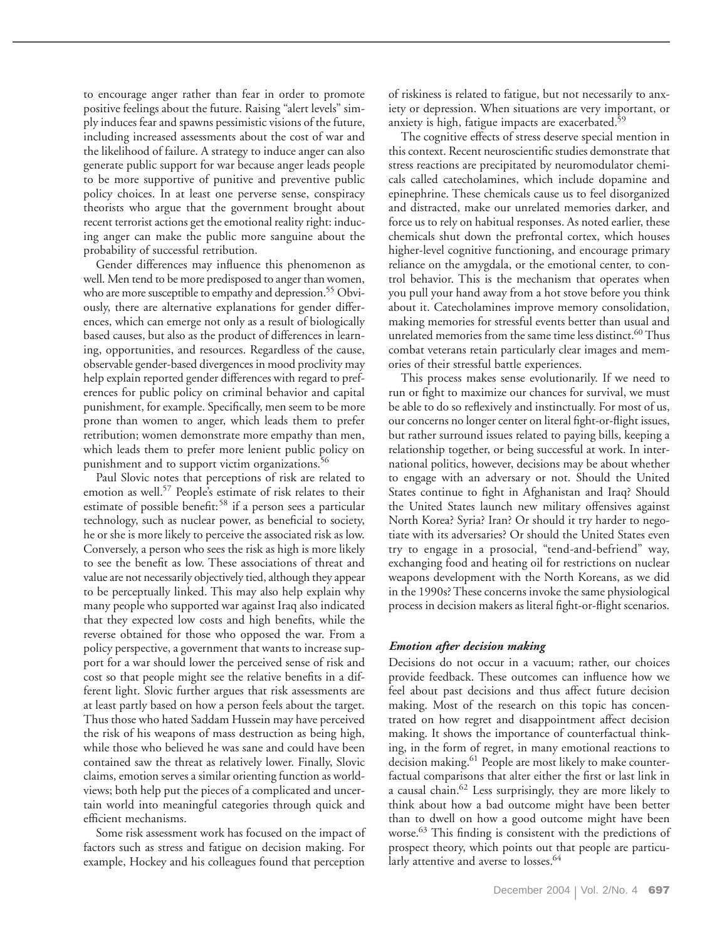to encourage anger rather than fear in order to promote positive feelings about the future. Raising "alert levels" simply induces fear and spawns pessimistic visions of the future, including increased assessments about the cost of war and the likelihood of failure. A strategy to induce anger can also generate public support for war because anger leads people to be more supportive of punitive and preventive public policy choices. In at least one perverse sense, conspiracy theorists who argue that the government brought about recent terrorist actions get the emotional reality right: inducing anger can make the public more sanguine about the probability of successful retribution.

Gender differences may influence this phenomenon as well. Men tend to be more predisposed to anger than women, who are more susceptible to empathy and depression.<sup>55</sup> Obviously, there are alternative explanations for gender differences, which can emerge not only as a result of biologically based causes, but also as the product of differences in learning, opportunities, and resources. Regardless of the cause, observable gender-based divergences in mood proclivity may help explain reported gender differences with regard to preferences for public policy on criminal behavior and capital punishment, for example. Specifically, men seem to be more prone than women to anger, which leads them to prefer retribution; women demonstrate more empathy than men, which leads them to prefer more lenient public policy on punishment and to support victim organizations.<sup>56</sup>

Paul Slovic notes that perceptions of risk are related to emotion as well.<sup>57</sup> People's estimate of risk relates to their estimate of possible benefit:<sup>58</sup> if a person sees a particular technology, such as nuclear power, as beneficial to society, he or she is more likely to perceive the associated risk as low. Conversely, a person who sees the risk as high is more likely to see the benefit as low. These associations of threat and value are not necessarily objectively tied, although they appear to be perceptually linked. This may also help explain why many people who supported war against Iraq also indicated that they expected low costs and high benefits, while the reverse obtained for those who opposed the war. From a policy perspective, a government that wants to increase support for a war should lower the perceived sense of risk and cost so that people might see the relative benefits in a different light. Slovic further argues that risk assessments are at least partly based on how a person feels about the target. Thus those who hated Saddam Hussein may have perceived the risk of his weapons of mass destruction as being high, while those who believed he was sane and could have been contained saw the threat as relatively lower. Finally, Slovic claims, emotion serves a similar orienting function as worldviews; both help put the pieces of a complicated and uncertain world into meaningful categories through quick and efficient mechanisms.

Some risk assessment work has focused on the impact of factors such as stress and fatigue on decision making. For example, Hockey and his colleagues found that perception

of riskiness is related to fatigue, but not necessarily to anxiety or depression. When situations are very important, or anxiety is high, fatigue impacts are exacerbated.<sup>59</sup>

The cognitive effects of stress deserve special mention in this context. Recent neuroscientific studies demonstrate that stress reactions are precipitated by neuromodulator chemicals called catecholamines, which include dopamine and epinephrine. These chemicals cause us to feel disorganized and distracted, make our unrelated memories darker, and force us to rely on habitual responses. As noted earlier, these chemicals shut down the prefrontal cortex, which houses higher-level cognitive functioning, and encourage primary reliance on the amygdala, or the emotional center, to control behavior. This is the mechanism that operates when you pull your hand away from a hot stove before you think about it. Catecholamines improve memory consolidation, making memories for stressful events better than usual and unrelated memories from the same time less distinct.<sup>60</sup> Thus combat veterans retain particularly clear images and memories of their stressful battle experiences.

This process makes sense evolutionarily. If we need to run or fight to maximize our chances for survival, we must be able to do so reflexively and instinctually. For most of us, our concerns no longer center on literal fight-or-flight issues, but rather surround issues related to paying bills, keeping a relationship together, or being successful at work. In international politics, however, decisions may be about whether to engage with an adversary or not. Should the United States continue to fight in Afghanistan and Iraq? Should the United States launch new military offensives against North Korea? Syria? Iran? Or should it try harder to negotiate with its adversaries? Or should the United States even try to engage in a prosocial, "tend-and-befriend" way, exchanging food and heating oil for restrictions on nuclear weapons development with the North Koreans, as we did in the 1990s? These concerns invoke the same physiological process in decision makers as literal fight-or-flight scenarios.

#### *Emotion after decision making*

Decisions do not occur in a vacuum; rather, our choices provide feedback. These outcomes can influence how we feel about past decisions and thus affect future decision making. Most of the research on this topic has concentrated on how regret and disappointment affect decision making. It shows the importance of counterfactual thinking, in the form of regret, in many emotional reactions to decision making.<sup>61</sup> People are most likely to make counterfactual comparisons that alter either the first or last link in a causal chain.<sup>62</sup> Less surprisingly, they are more likely to think about how a bad outcome might have been better than to dwell on how a good outcome might have been worse.63 This finding is consistent with the predictions of prospect theory, which points out that people are particularly attentive and averse to losses.<sup>64</sup>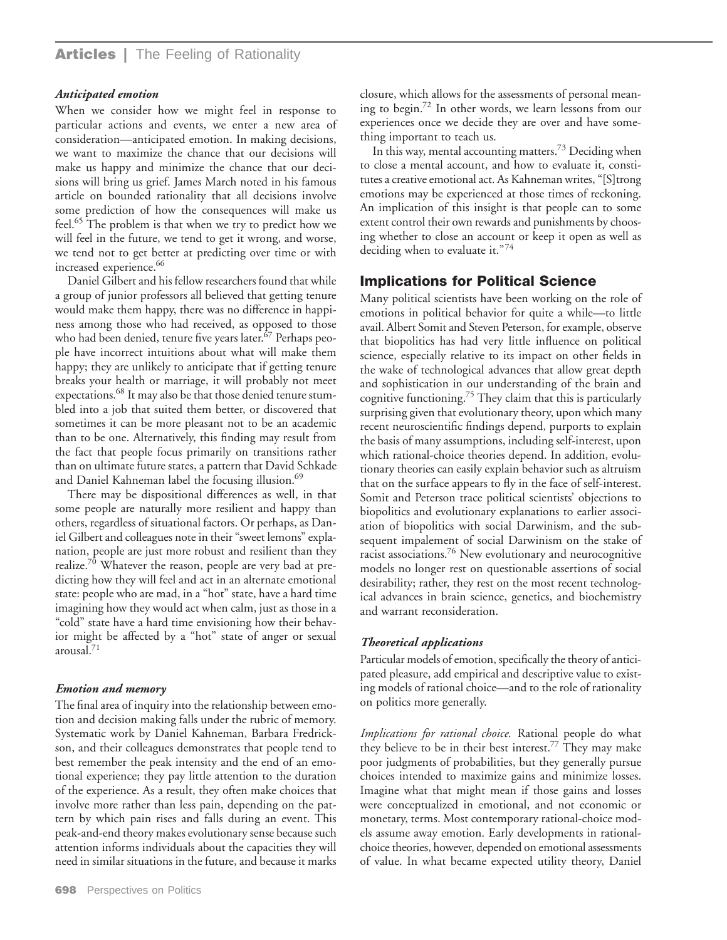#### *Anticipated emotion*

When we consider how we might feel in response to particular actions and events, we enter a new area of consideration—anticipated emotion. In making decisions, we want to maximize the chance that our decisions will make us happy and minimize the chance that our decisions will bring us grief. James March noted in his famous article on bounded rationality that all decisions involve some prediction of how the consequences will make us feel.65 The problem is that when we try to predict how we will feel in the future, we tend to get it wrong, and worse, we tend not to get better at predicting over time or with increased experience.<sup>66</sup>

Daniel Gilbert and his fellow researchers found that while a group of junior professors all believed that getting tenure would make them happy, there was no difference in happiness among those who had received, as opposed to those who had been denied, tenure five years later.<sup>67</sup> Perhaps people have incorrect intuitions about what will make them happy; they are unlikely to anticipate that if getting tenure breaks your health or marriage, it will probably not meet expectations.<sup>68</sup> It may also be that those denied tenure stumbled into a job that suited them better, or discovered that sometimes it can be more pleasant not to be an academic than to be one. Alternatively, this finding may result from the fact that people focus primarily on transitions rather than on ultimate future states, a pattern that David Schkade and Daniel Kahneman label the focusing illusion.<sup>69</sup>

There may be dispositional differences as well, in that some people are naturally more resilient and happy than others, regardless of situational factors. Or perhaps, as Daniel Gilbert and colleagues note in their "sweet lemons" explanation, people are just more robust and resilient than they realize.70 Whatever the reason, people are very bad at predicting how they will feel and act in an alternate emotional state: people who are mad, in a "hot" state, have a hard time imagining how they would act when calm, just as those in a "cold" state have a hard time envisioning how their behavior might be affected by a "hot" state of anger or sexual arousal.71

#### *Emotion and memory*

The final area of inquiry into the relationship between emotion and decision making falls under the rubric of memory. Systematic work by Daniel Kahneman, Barbara Fredrickson, and their colleagues demonstrates that people tend to best remember the peak intensity and the end of an emotional experience; they pay little attention to the duration of the experience. As a result, they often make choices that involve more rather than less pain, depending on the pattern by which pain rises and falls during an event. This peak-and-end theory makes evolutionary sense because such attention informs individuals about the capacities they will need in similar situations in the future, and because it marks closure, which allows for the assessments of personal meaning to begin.72 In other words, we learn lessons from our experiences once we decide they are over and have something important to teach us.

In this way, mental accounting matters.<sup>73</sup> Deciding when to close a mental account, and how to evaluate it, constitutes a creative emotional act. As Kahneman writes, "[S]trong emotions may be experienced at those times of reckoning. An implication of this insight is that people can to some extent control their own rewards and punishments by choosing whether to close an account or keep it open as well as deciding when to evaluate it."74

## **Implications for Political Science**

Many political scientists have been working on the role of emotions in political behavior for quite a while—to little avail. Albert Somit and Steven Peterson, for example, observe that biopolitics has had very little influence on political science, especially relative to its impact on other fields in the wake of technological advances that allow great depth and sophistication in our understanding of the brain and cognitive functioning.<sup>75</sup> They claim that this is particularly surprising given that evolutionary theory, upon which many recent neuroscientific findings depend, purports to explain the basis of many assumptions, including self-interest, upon which rational-choice theories depend. In addition, evolutionary theories can easily explain behavior such as altruism that on the surface appears to fly in the face of self-interest. Somit and Peterson trace political scientists' objections to biopolitics and evolutionary explanations to earlier association of biopolitics with social Darwinism, and the subsequent impalement of social Darwinism on the stake of racist associations.76 New evolutionary and neurocognitive models no longer rest on questionable assertions of social desirability; rather, they rest on the most recent technological advances in brain science, genetics, and biochemistry and warrant reconsideration.

#### *Theoretical applications*

Particular models of emotion, specifically the theory of anticipated pleasure, add empirical and descriptive value to existing models of rational choice—and to the role of rationality on politics more generally.

*Implications for rational choice.* Rational people do what they believe to be in their best interest.<sup>77</sup> They may make poor judgments of probabilities, but they generally pursue choices intended to maximize gains and minimize losses. Imagine what that might mean if those gains and losses were conceptualized in emotional, and not economic or monetary, terms. Most contemporary rational-choice models assume away emotion. Early developments in rationalchoice theories, however, depended on emotional assessments of value. In what became expected utility theory, Daniel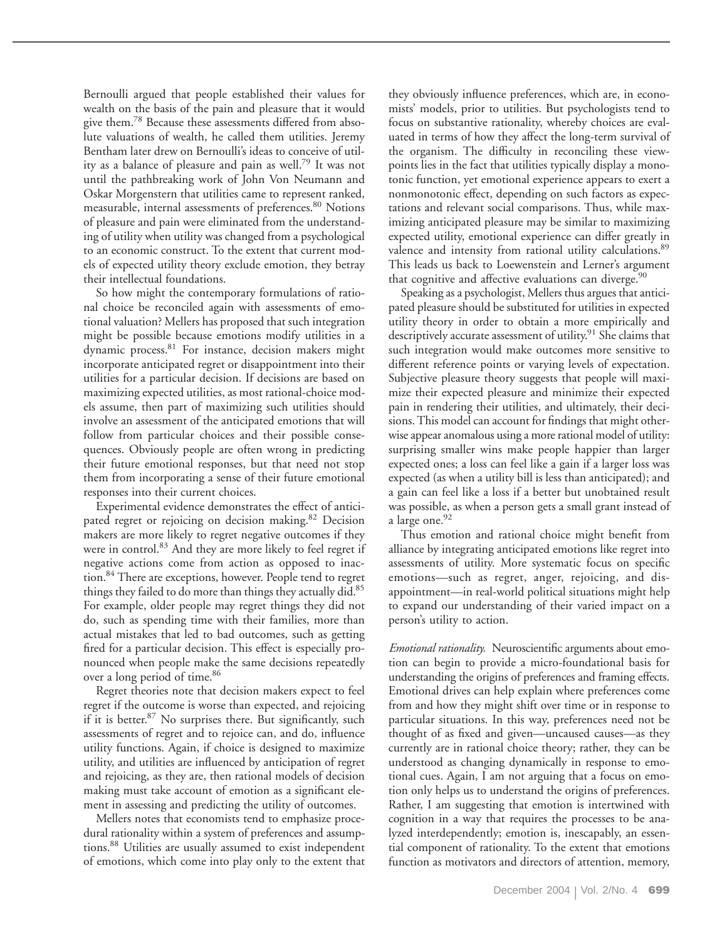Bernoulli argued that people established their values for wealth on the basis of the pain and pleasure that it would give them.78 Because these assessments differed from absolute valuations of wealth, he called them utilities. Jeremy Bentham later drew on Bernoulli's ideas to conceive of utility as a balance of pleasure and pain as well.79 It was not until the pathbreaking work of John Von Neumann and Oskar Morgenstern that utilities came to represent ranked, measurable, internal assessments of preferences.<sup>80</sup> Notions of pleasure and pain were eliminated from the understanding of utility when utility was changed from a psychological to an economic construct. To the extent that current models of expected utility theory exclude emotion, they betray their intellectual foundations.

So how might the contemporary formulations of rational choice be reconciled again with assessments of emotional valuation? Mellers has proposed that such integration might be possible because emotions modify utilities in a dynamic process.<sup>81</sup> For instance, decision makers might incorporate anticipated regret or disappointment into their utilities for a particular decision. If decisions are based on maximizing expected utilities, as most rational-choice models assume, then part of maximizing such utilities should involve an assessment of the anticipated emotions that will follow from particular choices and their possible consequences. Obviously people are often wrong in predicting their future emotional responses, but that need not stop them from incorporating a sense of their future emotional responses into their current choices.

Experimental evidence demonstrates the effect of anticipated regret or rejoicing on decision making.<sup>82</sup> Decision makers are more likely to regret negative outcomes if they were in control.<sup>83</sup> And they are more likely to feel regret if negative actions come from action as opposed to inaction.84 There are exceptions, however. People tend to regret things they failed to do more than things they actually did.<sup>85</sup> For example, older people may regret things they did not do, such as spending time with their families, more than actual mistakes that led to bad outcomes, such as getting fired for a particular decision. This effect is especially pronounced when people make the same decisions repeatedly over a long period of time.<sup>86</sup>

Regret theories note that decision makers expect to feel regret if the outcome is worse than expected, and rejoicing if it is better.<sup>87</sup> No surprises there. But significantly, such assessments of regret and to rejoice can, and do, influence utility functions. Again, if choice is designed to maximize utility, and utilities are influenced by anticipation of regret and rejoicing, as they are, then rational models of decision making must take account of emotion as a significant element in assessing and predicting the utility of outcomes.

Mellers notes that economists tend to emphasize procedural rationality within a system of preferences and assumptions.88 Utilities are usually assumed to exist independent of emotions, which come into play only to the extent that

they obviously influence preferences, which are, in economists' models, prior to utilities. But psychologists tend to focus on substantive rationality, whereby choices are evaluated in terms of how they affect the long-term survival of the organism. The difficulty in reconciling these viewpoints lies in the fact that utilities typically display a monotonic function, yet emotional experience appears to exert a nonmonotonic effect, depending on such factors as expectations and relevant social comparisons. Thus, while maximizing anticipated pleasure may be similar to maximizing expected utility, emotional experience can differ greatly in valence and intensity from rational utility calculations.<sup>89</sup> This leads us back to Loewenstein and Lerner's argument that cognitive and affective evaluations can diverge. $90$ 

Speaking as a psychologist, Mellers thus argues that anticipated pleasure should be substituted for utilities in expected utility theory in order to obtain a more empirically and descriptively accurate assessment of utility.<sup>91</sup> She claims that such integration would make outcomes more sensitive to different reference points or varying levels of expectation. Subjective pleasure theory suggests that people will maximize their expected pleasure and minimize their expected pain in rendering their utilities, and ultimately, their decisions. This model can account for findings that might otherwise appear anomalous using a more rational model of utility: surprising smaller wins make people happier than larger expected ones; a loss can feel like a gain if a larger loss was expected (as when a utility bill is less than anticipated); and a gain can feel like a loss if a better but unobtained result was possible, as when a person gets a small grant instead of a large one.  $92$ 

Thus emotion and rational choice might benefit from alliance by integrating anticipated emotions like regret into assessments of utility. More systematic focus on specific emotions—such as regret, anger, rejoicing, and disappointment—in real-world political situations might help to expand our understanding of their varied impact on a person's utility to action.

*Emotional rationality.* Neuroscientific arguments about emotion can begin to provide a micro-foundational basis for understanding the origins of preferences and framing effects. Emotional drives can help explain where preferences come from and how they might shift over time or in response to particular situations. In this way, preferences need not be thought of as fixed and given—uncaused causes—as they currently are in rational choice theory; rather, they can be understood as changing dynamically in response to emotional cues. Again, I am not arguing that a focus on emotion only helps us to understand the origins of preferences. Rather, I am suggesting that emotion is intertwined with cognition in a way that requires the processes to be analyzed interdependently; emotion is, inescapably, an essential component of rationality. To the extent that emotions function as motivators and directors of attention, memory,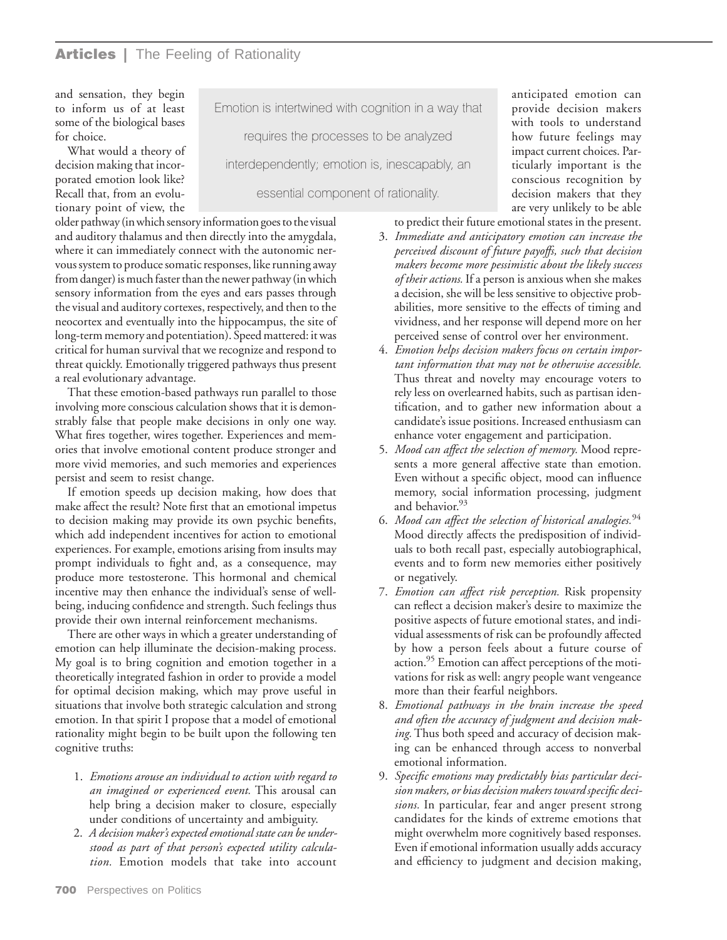and sensation, they begin to inform us of at least some of the biological bases for choice.

What would a theory of decision making that incorporated emotion look like? Recall that, from an evolutionary point of view, the

Emotion is intertwined with cognition in a way that requires the processes to be analyzed interdependently; emotion is, inescapably, an

essential component of rationality.

older pathway (in which sensory information goes to the visual and auditory thalamus and then directly into the amygdala, where it can immediately connect with the autonomic nervous system to produce somatic responses, like running away from danger) is much faster than the newer pathway (in which sensory information from the eyes and ears passes through the visual and auditory cortexes, respectively, and then to the neocortex and eventually into the hippocampus, the site of long-term memory and potentiation). Speed mattered: it was critical for human survival that we recognize and respond to threat quickly. Emotionally triggered pathways thus present a real evolutionary advantage.

That these emotion-based pathways run parallel to those involving more conscious calculation shows that it is demonstrably false that people make decisions in only one way. What fires together, wires together. Experiences and memories that involve emotional content produce stronger and more vivid memories, and such memories and experiences persist and seem to resist change.

If emotion speeds up decision making, how does that make affect the result? Note first that an emotional impetus to decision making may provide its own psychic benefits, which add independent incentives for action to emotional experiences. For example, emotions arising from insults may prompt individuals to fight and, as a consequence, may produce more testosterone. This hormonal and chemical incentive may then enhance the individual's sense of wellbeing, inducing confidence and strength. Such feelings thus provide their own internal reinforcement mechanisms.

There are other ways in which a greater understanding of emotion can help illuminate the decision-making process. My goal is to bring cognition and emotion together in a theoretically integrated fashion in order to provide a model for optimal decision making, which may prove useful in situations that involve both strategic calculation and strong emotion. In that spirit I propose that a model of emotional rationality might begin to be built upon the following ten cognitive truths:

- 1. *Emotions arouse an individual to action with regard to an imagined or experienced event.* This arousal can help bring a decision maker to closure, especially under conditions of uncertainty and ambiguity.
- 2. *A decision maker's expected emotional state can be understood as part of that person's expected utility calculation.* Emotion models that take into account

anticipated emotion can provide decision makers with tools to understand how future feelings may impact current choices. Particularly important is the conscious recognition by decision makers that they are very unlikely to be able

to predict their future emotional states in the present.

- 3. *Immediate and anticipatory emotion can increase the perceived discount of future payoffs, such that decision makers become more pessimistic about the likely success of their actions.* If a person is anxious when she makes a decision, she will be less sensitive to objective probabilities, more sensitive to the effects of timing and vividness, and her response will depend more on her perceived sense of control over her environment.
- 4. *Emotion helps decision makers focus on certain important information that may not be otherwise accessible.* Thus threat and novelty may encourage voters to rely less on overlearned habits, such as partisan identification, and to gather new information about a candidate's issue positions. Increased enthusiasm can enhance voter engagement and participation.
- 5. *Mood can affect the selection of memory.* Mood represents a more general affective state than emotion. Even without a specific object, mood can influence memory, social information processing, judgment and behavior.<sup>93</sup>
- 6. *Mood can affect the selection of historical analogies.*<sup>94</sup> Mood directly affects the predisposition of individuals to both recall past, especially autobiographical, events and to form new memories either positively or negatively.
- 7. *Emotion can affect risk perception.* Risk propensity can reflect a decision maker's desire to maximize the positive aspects of future emotional states, and individual assessments of risk can be profoundly affected by how a person feels about a future course of action.<sup>95</sup> Emotion can affect perceptions of the motivations for risk as well: angry people want vengeance more than their fearful neighbors.
- 8. *Emotional pathways in the brain increase the speed and often the accuracy of judgment and decision making.* Thus both speed and accuracy of decision making can be enhanced through access to nonverbal emotional information.
- 9. *Specific emotions may predictably bias particular decision makers, or bias decision makers toward specific decisions.* In particular, fear and anger present strong candidates for the kinds of extreme emotions that might overwhelm more cognitively based responses. Even if emotional information usually adds accuracy and efficiency to judgment and decision making,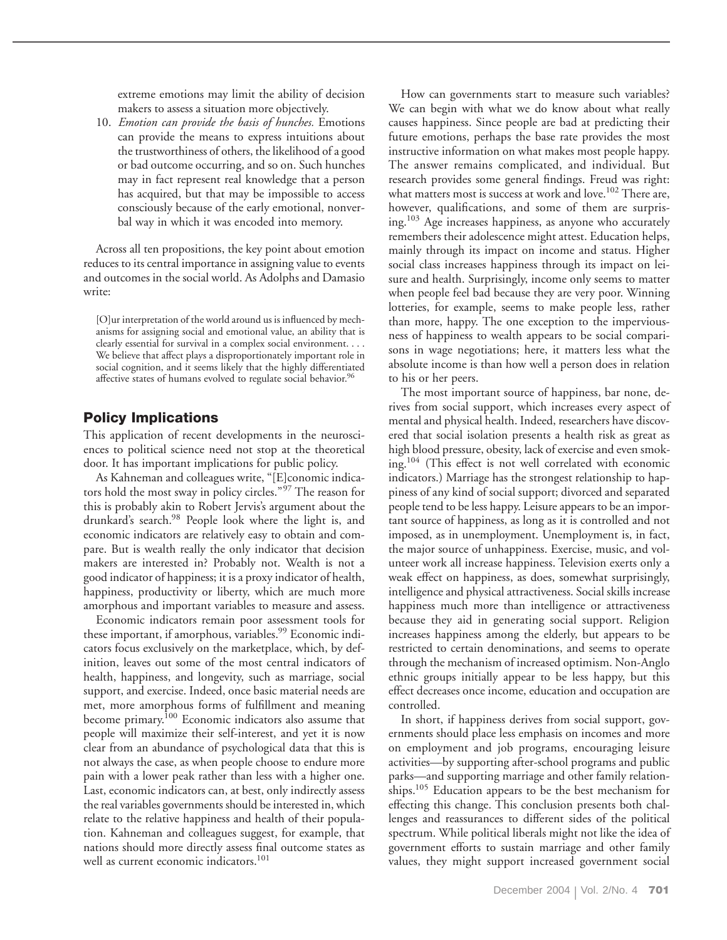extreme emotions may limit the ability of decision makers to assess a situation more objectively.

10. *Emotion can provide the basis of hunches.* Emotions can provide the means to express intuitions about the trustworthiness of others, the likelihood of a good or bad outcome occurring, and so on. Such hunches may in fact represent real knowledge that a person has acquired, but that may be impossible to access consciously because of the early emotional, nonverbal way in which it was encoded into memory.

Across all ten propositions, the key point about emotion reduces to its central importance in assigning value to events and outcomes in the social world. As Adolphs and Damasio write:

[O]ur interpretation of the world around us is influenced by mechanisms for assigning social and emotional value, an ability that is clearly essential for survival in a complex social environment.... We believe that affect plays a disproportionately important role in social cognition, and it seems likely that the highly differentiated affective states of humans evolved to regulate social behavior.<sup>96</sup>

## **Policy Implications**

This application of recent developments in the neurosciences to political science need not stop at the theoretical door. It has important implications for public policy.

As Kahneman and colleagues write, "[E]conomic indicators hold the most sway in policy circles."<sup>97</sup> The reason for this is probably akin to Robert Jervis's argument about the drunkard's search.<sup>98</sup> People look where the light is, and economic indicators are relatively easy to obtain and compare. But is wealth really the only indicator that decision makers are interested in? Probably not. Wealth is not a good indicator of happiness; it is a proxy indicator of health, happiness, productivity or liberty, which are much more amorphous and important variables to measure and assess.

Economic indicators remain poor assessment tools for these important, if amorphous, variables.<sup>99</sup> Economic indicators focus exclusively on the marketplace, which, by definition, leaves out some of the most central indicators of health, happiness, and longevity, such as marriage, social support, and exercise. Indeed, once basic material needs are met, more amorphous forms of fulfillment and meaning become primary.<sup>100</sup> Economic indicators also assume that people will maximize their self-interest, and yet it is now clear from an abundance of psychological data that this is not always the case, as when people choose to endure more pain with a lower peak rather than less with a higher one. Last, economic indicators can, at best, only indirectly assess the real variables governments should be interested in, which relate to the relative happiness and health of their population. Kahneman and colleagues suggest, for example, that nations should more directly assess final outcome states as well as current economic indicators.<sup>101</sup>

How can governments start to measure such variables? We can begin with what we do know about what really causes happiness. Since people are bad at predicting their future emotions, perhaps the base rate provides the most instructive information on what makes most people happy. The answer remains complicated, and individual. But research provides some general findings. Freud was right: what matters most is success at work and love.<sup>102</sup> There are, however, qualifications, and some of them are surprising.103 Age increases happiness, as anyone who accurately remembers their adolescence might attest. Education helps, mainly through its impact on income and status. Higher social class increases happiness through its impact on leisure and health. Surprisingly, income only seems to matter when people feel bad because they are very poor. Winning lotteries, for example, seems to make people less, rather than more, happy. The one exception to the imperviousness of happiness to wealth appears to be social comparisons in wage negotiations; here, it matters less what the absolute income is than how well a person does in relation to his or her peers.

The most important source of happiness, bar none, derives from social support, which increases every aspect of mental and physical health. Indeed, researchers have discovered that social isolation presents a health risk as great as high blood pressure, obesity, lack of exercise and even smoking.104 (This effect is not well correlated with economic indicators.) Marriage has the strongest relationship to happiness of any kind of social support; divorced and separated people tend to be less happy. Leisure appears to be an important source of happiness, as long as it is controlled and not imposed, as in unemployment. Unemployment is, in fact, the major source of unhappiness. Exercise, music, and volunteer work all increase happiness. Television exerts only a weak effect on happiness, as does, somewhat surprisingly, intelligence and physical attractiveness. Social skills increase happiness much more than intelligence or attractiveness because they aid in generating social support. Religion increases happiness among the elderly, but appears to be restricted to certain denominations, and seems to operate through the mechanism of increased optimism. Non-Anglo ethnic groups initially appear to be less happy, but this effect decreases once income, education and occupation are controlled.

In short, if happiness derives from social support, governments should place less emphasis on incomes and more on employment and job programs, encouraging leisure activities—by supporting after-school programs and public parks—and supporting marriage and other family relationships.<sup>105</sup> Education appears to be the best mechanism for effecting this change. This conclusion presents both challenges and reassurances to different sides of the political spectrum. While political liberals might not like the idea of government efforts to sustain marriage and other family values, they might support increased government social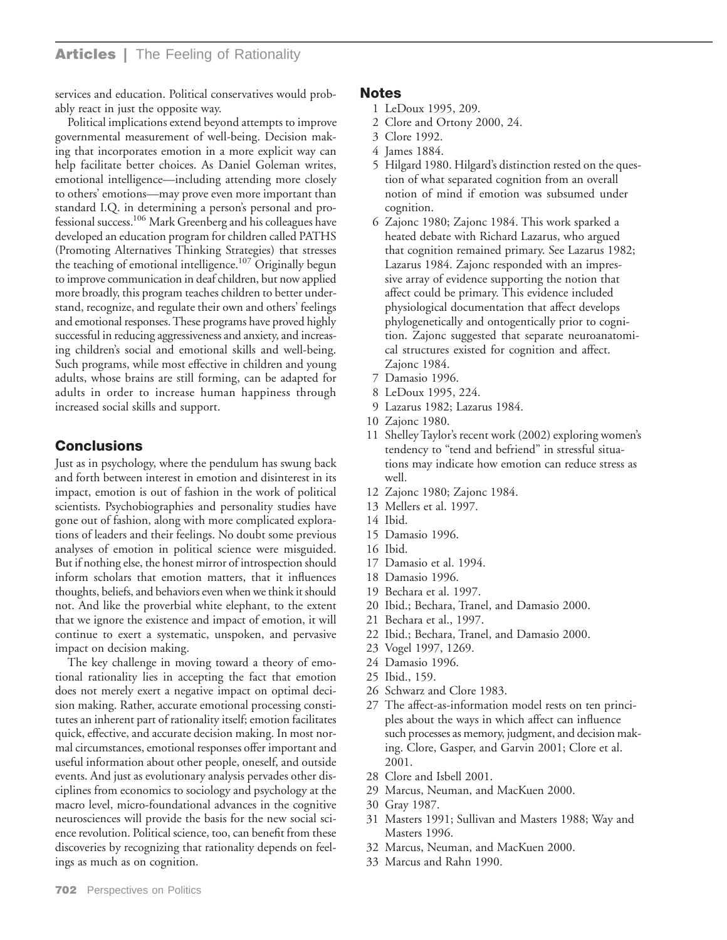services and education. Political conservatives would probably react in just the opposite way.

Political implications extend beyond attempts to improve governmental measurement of well-being. Decision making that incorporates emotion in a more explicit way can help facilitate better choices. As Daniel Goleman writes, emotional intelligence—including attending more closely to others' emotions—may prove even more important than standard I.Q. in determining a person's personal and professional success.106 Mark Greenberg and his colleagues have developed an education program for children called PATHS (Promoting Alternatives Thinking Strategies) that stresses the teaching of emotional intelligence.<sup>107</sup> Originally begun to improve communication in deaf children, but now applied more broadly, this program teaches children to better understand, recognize, and regulate their own and others' feelings and emotional responses. These programs have proved highly successful in reducing aggressiveness and anxiety, and increasing children's social and emotional skills and well-being. Such programs, while most effective in children and young adults, whose brains are still forming, can be adapted for adults in order to increase human happiness through increased social skills and support.

### **Conclusions**

Just as in psychology, where the pendulum has swung back and forth between interest in emotion and disinterest in its impact, emotion is out of fashion in the work of political scientists. Psychobiographies and personality studies have gone out of fashion, along with more complicated explorations of leaders and their feelings. No doubt some previous analyses of emotion in political science were misguided. But if nothing else, the honest mirror of introspection should inform scholars that emotion matters, that it influences thoughts, beliefs, and behaviors even when we think it should not. And like the proverbial white elephant, to the extent that we ignore the existence and impact of emotion, it will continue to exert a systematic, unspoken, and pervasive impact on decision making.

The key challenge in moving toward a theory of emotional rationality lies in accepting the fact that emotion does not merely exert a negative impact on optimal decision making. Rather, accurate emotional processing constitutes an inherent part of rationality itself; emotion facilitates quick, effective, and accurate decision making. In most normal circumstances, emotional responses offer important and useful information about other people, oneself, and outside events. And just as evolutionary analysis pervades other disciplines from economics to sociology and psychology at the macro level, micro-foundational advances in the cognitive neurosciences will provide the basis for the new social science revolution. Political science, too, can benefit from these discoveries by recognizing that rationality depends on feelings as much as on cognition.

#### **Notes**

- 1 LeDoux 1995, 209.
- 2 Clore and Ortony 2000, 24.
- 3 Clore 1992.
- 4 James 1884.
- 5 Hilgard 1980. Hilgard's distinction rested on the question of what separated cognition from an overall notion of mind if emotion was subsumed under cognition.
- 6 Zajonc 1980; Zajonc 1984. This work sparked a heated debate with Richard Lazarus, who argued that cognition remained primary. See Lazarus 1982; Lazarus 1984. Zajonc responded with an impressive array of evidence supporting the notion that affect could be primary. This evidence included physiological documentation that affect develops phylogenetically and ontogentically prior to cognition. Zajonc suggested that separate neuroanatomical structures existed for cognition and affect. Zajonc 1984.
- 7 Damasio 1996.
- 8 LeDoux 1995, 224.
- 9 Lazarus 1982; Lazarus 1984.
- 10 Zajonc 1980.
- 11 Shelley Taylor's recent work (2002) exploring women's tendency to "tend and befriend" in stressful situations may indicate how emotion can reduce stress as well.
- 12 Zajonc 1980; Zajonc 1984.
- 13 Mellers et al. 1997.
- 14 Ibid.
- 15 Damasio 1996.
- 16 Ibid.
- 17 Damasio et al. 1994.
- 18 Damasio 1996.
- 19 Bechara et al. 1997.
- 20 Ibid.; Bechara, Tranel, and Damasio 2000.
- 21 Bechara et al., 1997.
- 22 Ibid.; Bechara, Tranel, and Damasio 2000.
- 23 Vogel 1997, 1269.
- 24 Damasio 1996.
- 25 Ibid., 159.
- 26 Schwarz and Clore 1983.
- 27 The affect-as-information model rests on ten principles about the ways in which affect can influence such processes as memory, judgment, and decision making. Clore, Gasper, and Garvin 2001; Clore et al. 2001.
- 28 Clore and Isbell 2001.
- 29 Marcus, Neuman, and MacKuen 2000.
- 30 Gray 1987.
- 31 Masters 1991; Sullivan and Masters 1988; Way and Masters 1996.
- 32 Marcus, Neuman, and MacKuen 2000.
- 33 Marcus and Rahn 1990.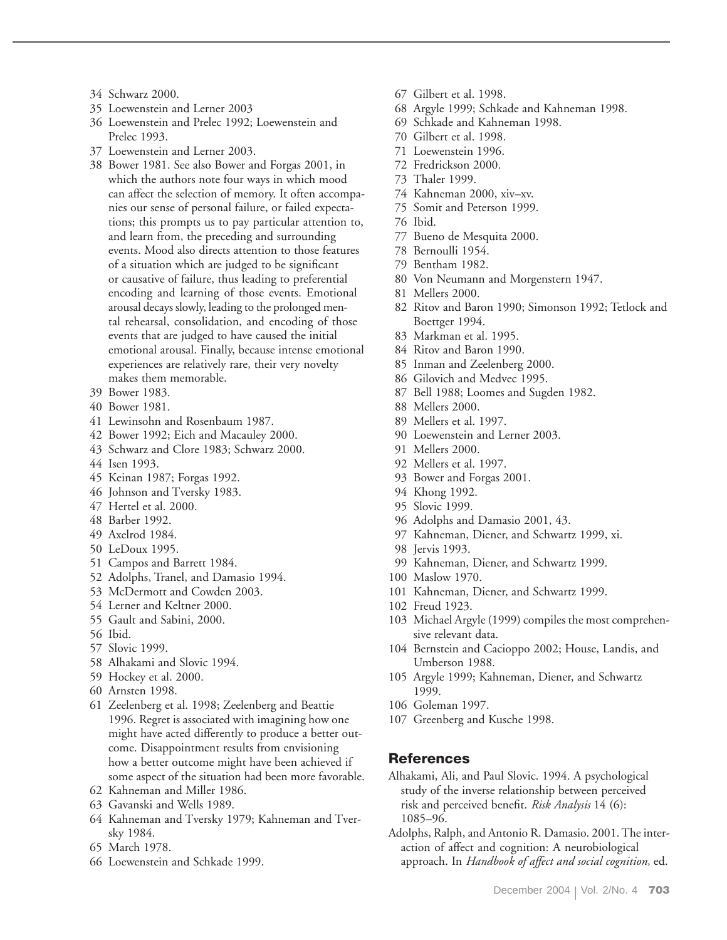- 34 Schwarz 2000.
- 35 Loewenstein and Lerner 2003
- 36 Loewenstein and Prelec 1992; Loewenstein and Prelec 1993.
- 37 Loewenstein and Lerner 2003.
- 38 Bower 1981. See also Bower and Forgas 2001, in which the authors note four ways in which mood can affect the selection of memory. It often accompanies our sense of personal failure, or failed expectations; this prompts us to pay particular attention to, and learn from, the preceding and surrounding events. Mood also directs attention to those features of a situation which are judged to be significant or causative of failure, thus leading to preferential encoding and learning of those events. Emotional arousal decays slowly, leading to the prolonged mental rehearsal, consolidation, and encoding of those events that are judged to have caused the initial emotional arousal. Finally, because intense emotional experiences are relatively rare, their very novelty makes them memorable.
- 39 Bower 1983.
- 40 Bower 1981.
- 41 Lewinsohn and Rosenbaum 1987.
- 42 Bower 1992; Eich and Macauley 2000.
- 43 Schwarz and Clore 1983; Schwarz 2000.
- 44 Isen 1993.
- 45 Keinan 1987; Forgas 1992.
- 46 Johnson and Tversky 1983.
- 47 Hertel et al. 2000.
- 48 Barber 1992.
- 49 Axelrod 1984.
- 50 LeDoux 1995.
- 51 Campos and Barrett 1984.
- 52 Adolphs, Tranel, and Damasio 1994.
- 53 McDermott and Cowden 2003.
- 54 Lerner and Keltner 2000.
- 55 Gault and Sabini, 2000.
- 56 Ibid.
- 57 Slovic 1999.
- 58 Alhakami and Slovic 1994.
- 59 Hockey et al. 2000.
- 60 Arnsten 1998.
- 61 Zeelenberg et al. 1998; Zeelenberg and Beattie 1996. Regret is associated with imagining how one might have acted differently to produce a better outcome. Disappointment results from envisioning how a better outcome might have been achieved if some aspect of the situation had been more favorable.
- 62 Kahneman and Miller 1986.
- 63 Gavanski and Wells 1989.
- 64 Kahneman and Tversky 1979; Kahneman and Tversky 1984.
- 65 March 1978.
- 66 Loewenstein and Schkade 1999.
- 67 Gilbert et al. 1998.
- 68 Argyle 1999; Schkade and Kahneman 1998.
- 69 Schkade and Kahneman 1998.
- 70 Gilbert et al. 1998.
- 71 Loewenstein 1996.
- 72 Fredrickson 2000.
- 73 Thaler 1999.
- 74 Kahneman 2000, xiv–xv.
- 75 Somit and Peterson 1999.
- 76 Ibid.
- 77 Bueno de Mesquita 2000.
- 78 Bernoulli 1954.
- 79 Bentham 1982.
- 80 Von Neumann and Morgenstern 1947.
- 81 Mellers 2000.
- 82 Ritov and Baron 1990; Simonson 1992; Tetlock and Boettger 1994.
- 83 Markman et al. 1995.
- 84 Ritov and Baron 1990.
- 85 Inman and Zeelenberg 2000.
- 86 Gilovich and Medvec 1995.
- 87 Bell 1988; Loomes and Sugden 1982.
- 88 Mellers 2000.
- 89 Mellers et al. 1997.
- 90 Loewenstein and Lerner 2003.
- 91 Mellers 2000.
- 92 Mellers et al. 1997.
- 93 Bower and Forgas 2001.
- 94 Khong 1992.
- 95 Slovic 1999.
- 96 Adolphs and Damasio 2001, 43.
- 97 Kahneman, Diener, and Schwartz 1999, xi.
- 98 Jervis 1993.
- 99 Kahneman, Diener, and Schwartz 1999.
- 100 Maslow 1970.
- 101 Kahneman, Diener, and Schwartz 1999.
- 102 Freud 1923.
- 103 Michael Argyle (1999) compiles the most comprehensive relevant data.
- 104 Bernstein and Cacioppo 2002; House, Landis, and Umberson 1988.
- 105 Argyle 1999; Kahneman, Diener, and Schwartz 1999.
- 106 Goleman 1997.
- 107 Greenberg and Kusche 1998.

## **References**

- Alhakami, Ali, and Paul Slovic. 1994. A psychological study of the inverse relationship between perceived risk and perceived benefit. *Risk Analysis* 14 (6): 1085–96.
- Adolphs, Ralph, and Antonio R. Damasio. 2001. The interaction of affect and cognition: A neurobiological approach. In *Handbook of affect and social cognition,* ed.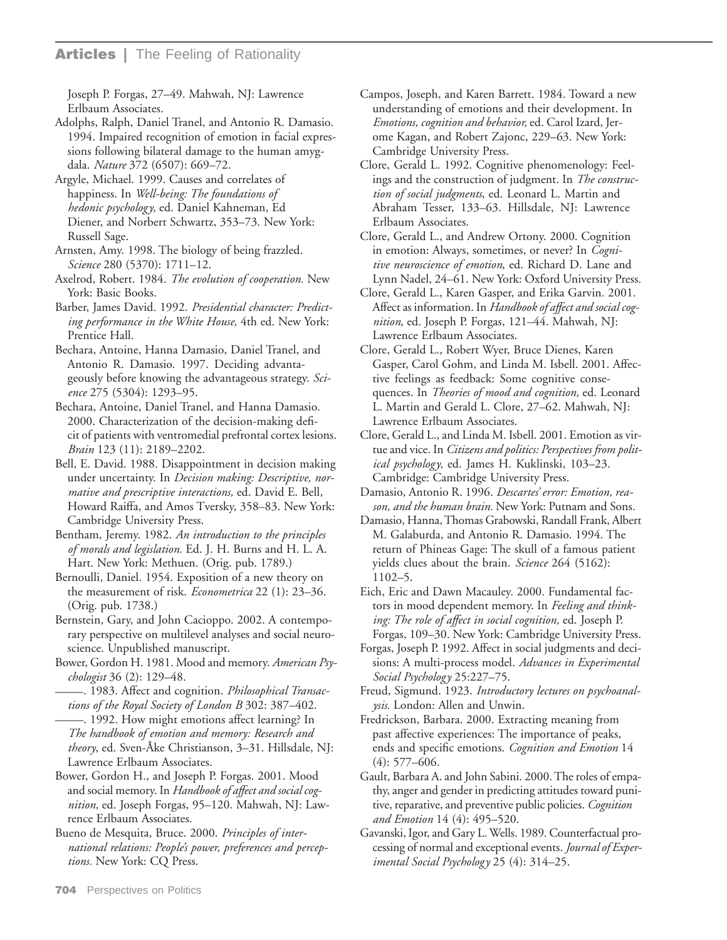Joseph P. Forgas, 27–49. Mahwah, NJ: Lawrence Erlbaum Associates.

Adolphs, Ralph, Daniel Tranel, and Antonio R. Damasio. 1994. Impaired recognition of emotion in facial expressions following bilateral damage to the human amygdala. *Nature* 372 (6507): 669–72.

- Argyle, Michael. 1999. Causes and correlates of happiness. In *Well-being: The foundations of hedonic psychology,* ed. Daniel Kahneman, Ed Diener, and Norbert Schwartz, 353–73. New York: Russell Sage.
- Arnsten, Amy. 1998. The biology of being frazzled. *Science* 280 (5370): 1711–12.
- Axelrod, Robert. 1984. *The evolution of cooperation.* New York: Basic Books.
- Barber, James David. 1992. *Presidential character: Predicting performance in the White House,* 4th ed. New York: Prentice Hall.
- Bechara, Antoine, Hanna Damasio, Daniel Tranel, and Antonio R. Damasio. 1997. Deciding advantageously before knowing the advantageous strategy. *Science* 275 (5304): 1293–95.
- Bechara, Antoine, Daniel Tranel, and Hanna Damasio. 2000. Characterization of the decision-making deficit of patients with ventromedial prefrontal cortex lesions. *Brain* 123 (11): 2189–2202.
- Bell, E. David. 1988. Disappointment in decision making under uncertainty. In *Decision making: Descriptive, normative and prescriptive interactions,* ed. David E. Bell, Howard Raiffa, and Amos Tversky, 358–83. New York: Cambridge University Press.
- Bentham, Jeremy. 1982. *An introduction to the principles of morals and legislation.* Ed. J. H. Burns and H. L. A. Hart. New York: Methuen. (Orig. pub. 1789.)
- Bernoulli, Daniel. 1954. Exposition of a new theory on the measurement of risk. *Econometrica* 22 (1): 23–36. (Orig. pub. 1738.)

Bernstein, Gary, and John Cacioppo. 2002. A contemporary perspective on multilevel analyses and social neuroscience. Unpublished manuscript.

- Bower, Gordon H. 1981. Mood and memory. *American Psychologist* 36 (2): 129–48.<br> *chologist* 36 (2): 129–48.<br> **chologist** 36 (2): 129–48.<br> **compare 1983.** Affect and cognition. *Philosophical Transactions* of the *Royal Society of London R* 302: 387–402
- *tionsglat 50* (2): 12) 10:<br> **tions** of the Royal Society of London B 302: 387–402.<br> **the Royal Society of London B 302: 387–402.**<br>
The handbook of emotion and memory: Recearch and

*The handbook of emotion and memory: Research and theory*, ed. Sven-Åke Christianson, 3–31. Hillsdale, NJ: Lawrence Erlbaum Associates.

Bower, Gordon H., and Joseph P. Forgas. 2001. Mood and social memory. In *Handbook of affect and social cognition,* ed. Joseph Forgas, 95–120. Mahwah, NJ: Lawrence Erlbaum Associates.

Bueno de Mesquita, Bruce. 2000. *Principles of international relations: People's power, preferences and perceptions.* New York: CQ Press.

- Campos, Joseph, and Karen Barrett. 1984. Toward a new understanding of emotions and their development. In *Emotions, cognition and behavior,* ed. Carol Izard, Jerome Kagan, and Robert Zajonc, 229–63. New York: Cambridge University Press.
- Clore, Gerald L. 1992. Cognitive phenomenology: Feelings and the construction of judgment. In *The construction of social judgments*, ed. Leonard L. Martin and Abraham Tesser, 133–63. Hillsdale, NJ: Lawrence Erlbaum Associates.
- Clore, Gerald L., and Andrew Ortony. 2000. Cognition in emotion: Always, sometimes, or never? In *Cognitive neuroscience of emotion*, ed. Richard D. Lane and Lynn Nadel, 24–61. New York: Oxford University Press.
- Clore, Gerald L., Karen Gasper, and Erika Garvin. 2001. Affect as information. In *Handbook of affect and social cognition*, ed. Joseph P. Forgas, 121–44. Mahwah, NJ: Lawrence Erlbaum Associates.
- Clore, Gerald L., Robert Wyer, Bruce Dienes, Karen Gasper, Carol Gohm, and Linda M. Isbell. 2001. Affective feelings as feedback: Some cognitive consequences. In *Theories of mood and cognition,* ed. Leonard L. Martin and Gerald L. Clore, 27–62. Mahwah, NJ: Lawrence Erlbaum Associates.
- Clore, Gerald L., and Linda M. Isbell. 2001. Emotion as virtue and vice. In *Citizens and politics: Perspectives from political psychology,* ed. James H. Kuklinski, 103–23. Cambridge: Cambridge University Press.
- Damasio, Antonio R. 1996. *Descartes' error: Emotion, reason, and the human brain.* New York: Putnam and Sons.
- Damasio, Hanna, Thomas Grabowski, Randall Frank, Albert M. Galaburda, and Antonio R. Damasio. 1994. The return of Phineas Gage: The skull of a famous patient yields clues about the brain. *Science* 264 (5162): 1102–5.
- Eich, Eric and Dawn Macauley. 2000. Fundamental factors in mood dependent memory. In *Feeling and thinking: The role of affect in social cognition,* ed. Joseph P. Forgas, 109–30. New York: Cambridge University Press.
- Forgas, Joseph P. 1992. Affect in social judgments and decisions: A multi-process model. *Advances in Experimental Social Psychology* 25:227–75.
- Freud, Sigmund. 1923. *Introductory lectures on psychoanalysis.* London: Allen and Unwin.
- Fredrickson, Barbara. 2000. Extracting meaning from past affective experiences: The importance of peaks, ends and specific emotions. *Cognition and Emotion* 14 (4): 577–606.
- Gault, Barbara A. and John Sabini. 2000. The roles of empathy, anger and gender in predicting attitudes toward punitive, reparative, and preventive public policies. *Cognition and Emotion* 14 (4): 495–520.

Gavanski, Igor, and Gary L. Wells. 1989. Counterfactual processing of normal and exceptional events. *Journal of Experimental Social Psychology* 25 (4): 314–25.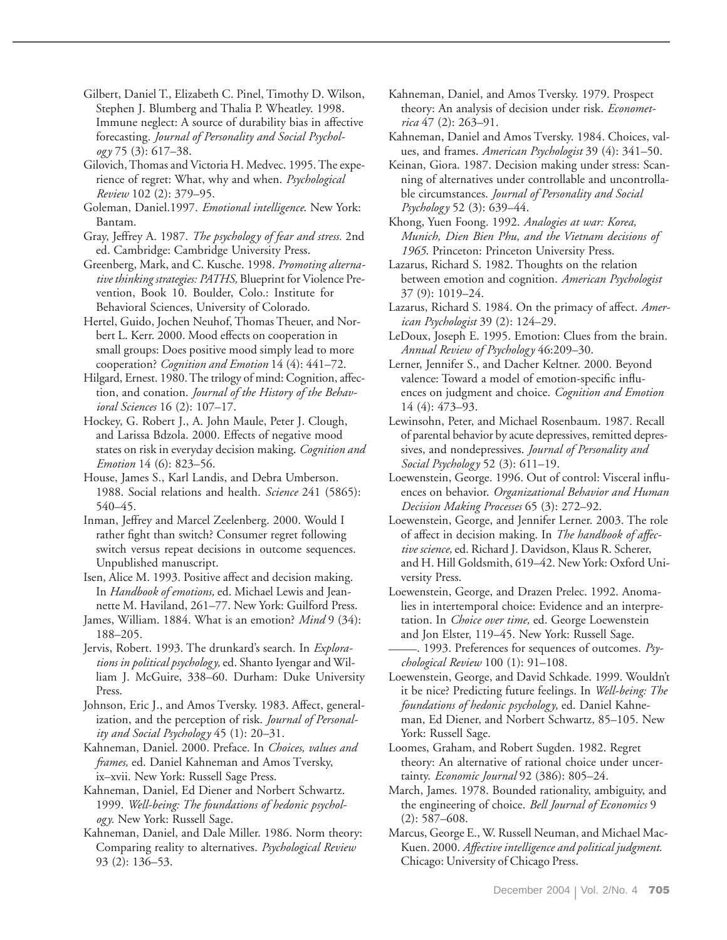Gilbert, Daniel T., Elizabeth C. Pinel, Timothy D. Wilson, Stephen J. Blumberg and Thalia P. Wheatley. 1998. Immune neglect: A source of durability bias in affective forecasting. *Journal of Personality and Social Psychology* 75 (3): 617–38.

Gilovich, Thomas and Victoria H. Medvec. 1995. The experience of regret: What, why and when. *Psychological Review* 102 (2): 379–95.

Goleman, Daniel.1997. *Emotional intelligence*. New York: Bantam.

Gray, Jeffrey A. 1987. *The psychology of fear and stress.* 2nd ed. Cambridge: Cambridge University Press.

Greenberg, Mark, and C. Kusche. 1998. *Promoting alternative thinking strategies: PATHS,* Blueprint for Violence Prevention, Book 10. Boulder, Colo.: Institute for Behavioral Sciences, University of Colorado.

Hertel, Guido, Jochen Neuhof, Thomas Theuer, and Norbert L. Kerr. 2000. Mood effects on cooperation in small groups: Does positive mood simply lead to more cooperation? *Cognition and Emotion* 14 (4): 441–72.

Hilgard, Ernest. 1980. The trilogy of mind: Cognition, affection, and conation. *Journal of the History of the Behavioral Sciences* 16 (2): 107–17.

Hockey, G. Robert J., A. John Maule, Peter J. Clough, and Larissa Bdzola. 2000. Effects of negative mood states on risk in everyday decision making. *Cognition and Emotion* 14 (6): 823–56.

House, James S., Karl Landis, and Debra Umberson. 1988. Social relations and health. *Science* 241 (5865): 540–45.

Inman, Jeffrey and Marcel Zeelenberg. 2000. Would I rather fight than switch? Consumer regret following switch versus repeat decisions in outcome sequences. Unpublished manuscript.

Isen, Alice M. 1993. Positive affect and decision making. In *Handbook of emotions,* ed. Michael Lewis and Jeannette M. Haviland, 261–77. New York: Guilford Press.

James, William. 1884. What is an emotion? *Mind* 9 (34): 188–205.

Jervis, Robert. 1993. The drunkard's search. In *Explorations in political psychology,*ed. Shanto Iyengar and William J. McGuire, 338–60. Durham: Duke University Press.

Johnson, Eric J., and Amos Tversky. 1983. Affect, generalization, and the perception of risk. *Journal of Personality and Social Psychology* 45 (1): 20–31.

Kahneman, Daniel. 2000. Preface. In *Choices, values and frames,* ed. Daniel Kahneman and Amos Tversky, ix–xvii. New York: Russell Sage Press.

Kahneman, Daniel, Ed Diener and Norbert Schwartz. 1999. *Well-being: The foundations of hedonic psychology.* New York: Russell Sage.

Kahneman, Daniel, and Dale Miller. 1986. Norm theory: Comparing reality to alternatives. *Psychological Review* 93 (2): 136–53.

Kahneman, Daniel, and Amos Tversky. 1979. Prospect theory: An analysis of decision under risk. *Econometrica* 47 (2): 263–91.

Kahneman, Daniel and Amos Tversky. 1984. Choices, values, and frames. *American Psychologist* 39 (4): 341–50.

Keinan, Giora. 1987. Decision making under stress: Scanning of alternatives under controllable and uncontrollable circumstances. *Journal of Personality and Social Psychology* 52 (3): 639–44.

Khong, Yuen Foong. 1992. *Analogies at war: Korea, Munich, Dien Bien Phu, and the Vietnam decisions of 1965*. Princeton: Princeton University Press.

Lazarus, Richard S. 1982. Thoughts on the relation between emotion and cognition. *American Psychologist* 37 (9): 1019–24.

Lazarus, Richard S. 1984. On the primacy of affect. *American Psychologist* 39 (2): 124–29.

LeDoux, Joseph E. 1995. Emotion: Clues from the brain. *Annual Review of Psychology* 46:209–30.

Lerner, Jennifer S., and Dacher Keltner. 2000. Beyond valence: Toward a model of emotion-specific influences on judgment and choice. *Cognition and Emotion* 14 (4): 473–93.

Lewinsohn, Peter, and Michael Rosenbaum. 1987. Recall of parental behavior by acute depressives, remitted depressives, and nondepressives. *Journal of Personality and Social Psychology* 52 (3): 611–19.

Loewenstein, George. 1996. Out of control: Visceral influences on behavior. *Organizational Behavior and Human Decision Making Processes* 65 (3): 272–92.

Loewenstein, George, and Jennifer Lerner. 2003. The role of affect in decision making. In *The handbook of affective science,*ed. Richard J. Davidson, Klaus R. Scherer, and H. Hill Goldsmith, 619–42. New York: Oxford University Press.

Loewenstein, George, and Drazen Prelec. 1992. Anomalies in intertemporal choice: Evidence and an interpretation. In *Choice over time*, ed. George Loewenstein<br>and Jon Elster, 119–45. New York: Russell Sage.<br>\_\_\_\_\_\_\_. 1993. Preferences for sequences of outcomes. *Psy-*<br>chological Review 100 (1): 91–108

*chological Review* 100 (1): 91–108.

Loewenstein, George, and David Schkade. 1999. Wouldn't it be nice? Predicting future feelings. In *Well-being: The foundations of hedonic psychology,* ed. Daniel Kahneman, Ed Diener, and Norbert Schwartz, 85–105. New York: Russell Sage.

Loomes, Graham, and Robert Sugden. 1982. Regret theory: An alternative of rational choice under uncertainty. *Economic Journal* 92 (386): 805–24.

March, James. 1978. Bounded rationality, ambiguity, and the engineering of choice. *Bell Journal of Economics* 9 (2): 587–608.

Marcus, George E., W. Russell Neuman, and Michael Mac-Kuen. 2000. *Affective intelligence and political judgment.* Chicago: University of Chicago Press.